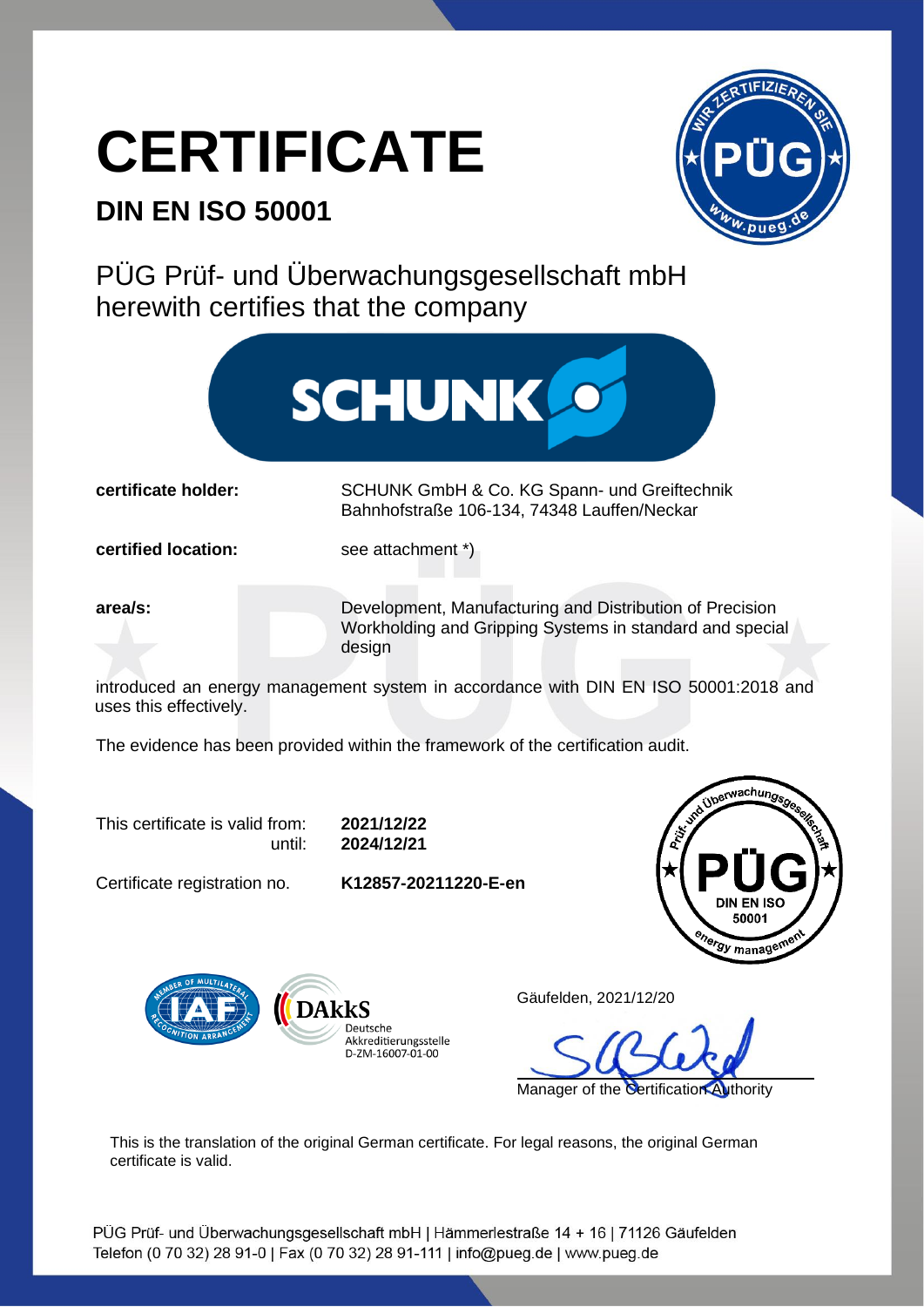## **CERTIFICATE**

## **DIN EN ISO 50001**



PÜG Prüf- und Überwachungsgesellschaft mbH herewith certifies that the company



**certificate holder:** SCHUNK GmbH & Co. KG Spann- und Greiftechnik Bahnhofstraße 106-134, 74348 Lauffen/Neckar

**certified location:** see attachment \*)

**area/s: Development, Manufacturing and Distribution of Precision** Workholding and Gripping Systems in standard and special design

introduced an energy management system in accordance with DIN EN ISO 50001:2018 and uses this effectively.

The evidence has been provided within the framework of the certification audit.

This certificate is valid from: **2021/12/22**

until: **2024/12/21**

Certificate registration no. **K12857-20211220-E-en**





Gäufelden, 2021/12/20

Manager of the Certification Authority

This is the translation of the original German certificate. For legal reasons, the original German certificate is valid.

PÜG Prüf- und Überwachungsgesellschaft mbH | Hämmerlestraße 14 + 16 | 71126 Gäufelden Telefon (0 70 32) 28 91-0 | Fax (0 70 32) 28 91-111 | info@pueg.de | www.pueg.de